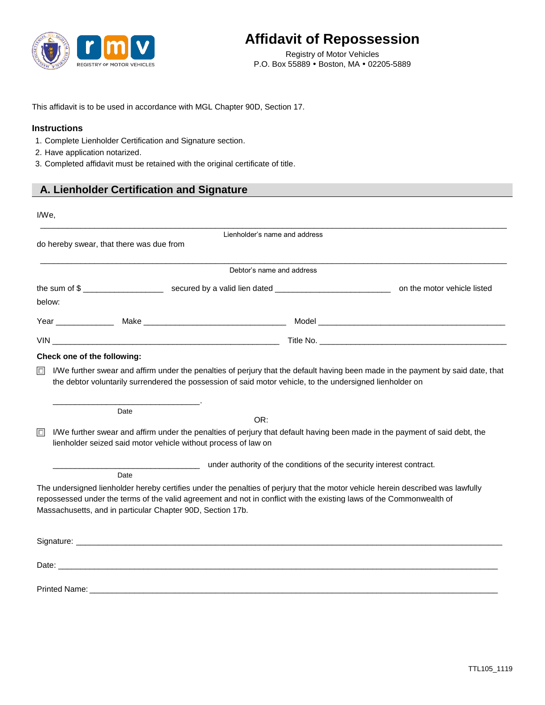

## **Affidavit of Repossession**

Registry of Motor Vehicles P.O. Box 55889 . Boston, MA . 02205-5889

This affidavit is to be used in accordance with MGL Chapter 90D, Section 17.

## **Instructions**

- 1. Complete Lienholder Certification and Signature section.
- 2. Have application notarized.
- 3. Completed affidavit must be retained with the original certificate of title.

## **A. Lienholder Certification and Signature**

| I/We,  |                                                                                                                                                                                                                                                                                                                       |  |  |
|--------|-----------------------------------------------------------------------------------------------------------------------------------------------------------------------------------------------------------------------------------------------------------------------------------------------------------------------|--|--|
|        | Lienholder's name and address<br>do hereby swear, that there was due from                                                                                                                                                                                                                                             |  |  |
|        |                                                                                                                                                                                                                                                                                                                       |  |  |
|        | Debtor's name and address                                                                                                                                                                                                                                                                                             |  |  |
|        |                                                                                                                                                                                                                                                                                                                       |  |  |
| below: |                                                                                                                                                                                                                                                                                                                       |  |  |
|        |                                                                                                                                                                                                                                                                                                                       |  |  |
|        |                                                                                                                                                                                                                                                                                                                       |  |  |
|        | Check one of the following:                                                                                                                                                                                                                                                                                           |  |  |
| $\Box$ | I/We further swear and affirm under the penalties of perjury that the default having been made in the payment by said date, that<br>the debtor voluntarily surrendered the possession of said motor vehicle, to the undersigned lienholder on<br>Date<br>OR:                                                          |  |  |
| $\Box$ | I/We further swear and affirm under the penalties of perjury that default having been made in the payment of said debt, the<br>lienholder seized said motor vehicle without process of law on                                                                                                                         |  |  |
|        | under authority of the conditions of the security interest contract.                                                                                                                                                                                                                                                  |  |  |
|        | Date                                                                                                                                                                                                                                                                                                                  |  |  |
|        | The undersigned lienholder hereby certifies under the penalties of perjury that the motor vehicle herein described was lawfully<br>repossessed under the terms of the valid agreement and not in conflict with the existing laws of the Commonwealth of<br>Massachusetts, and in particular Chapter 90D, Section 17b. |  |  |
|        |                                                                                                                                                                                                                                                                                                                       |  |  |
|        | Date: the contract of the contract of the contract of the contract of the contract of the contract of the contract of the contract of the contract of the contract of the contract of the contract of the contract of the cont                                                                                        |  |  |
|        |                                                                                                                                                                                                                                                                                                                       |  |  |